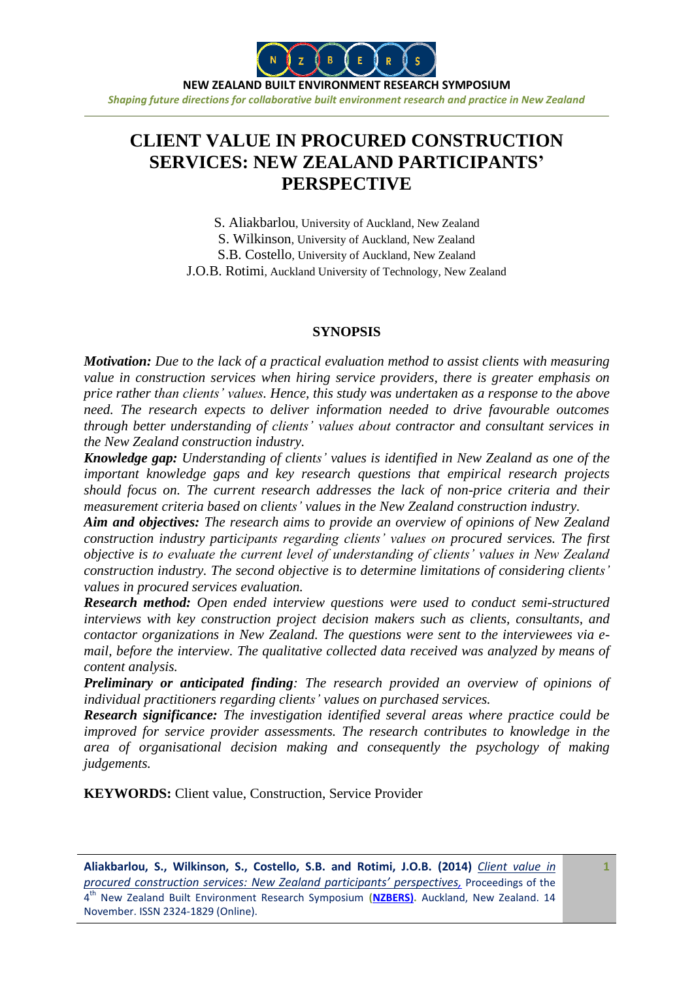

**NEW ZEALAND BUILT ENVIRONMENT RESEARCH SYMPOSIUM** *Shaping future directions for collaborative built environment research and practice in New Zealand*

# **CLIENT VALUE IN PROCURED CONSTRUCTION SERVICES: NEW ZEALAND PARTICIPANTS' PERSPECTIVE**

S. Aliakbarlou, University of Auckland, New Zealand S. Wilkinson, University of Auckland, New Zealand S.B. Costello, University of Auckland, New Zealand J.O.B. Rotimi, Auckland University of Technology, New Zealand

#### **SYNOPSIS**

*Motivation: Due to the lack of a practical evaluation method to assist clients with measuring value in construction services when hiring service providers, there is greater emphasis on price rather than clients' values. Hence, this study was undertaken as a response to the above need. The research expects to deliver information needed to drive favourable outcomes through better understanding of clients' values about contractor and consultant services in the New Zealand construction industry.*

*Knowledge gap: Understanding of clients' values is identified in New Zealand as one of the important knowledge gaps and key research questions that empirical research projects should focus on. The current research addresses the lack of non-price criteria and their measurement criteria based on clients' values in the New Zealand construction industry.* 

*Aim and objectives: The research aims to provide an overview of opinions of New Zealand construction industry participants regarding clients' values on procured services. The first objective is to evaluate the current level of understanding of clients' values in New Zealand construction industry. The second objective is to determine limitations of considering clients' values in procured services evaluation.*

*Research method: Open ended interview questions were used to conduct semi-structured interviews with key construction project decision makers such as clients, consultants, and contactor organizations in New Zealand. The questions were sent to the interviewees via email, before the interview. The qualitative collected data received was analyzed by means of content analysis.*

*Preliminary or anticipated finding: The research provided an overview of opinions of individual practitioners regarding clients' values on purchased services.* 

*Research significance: The investigation identified several areas where practice could be improved for service provider assessments. The research contributes to knowledge in the area of organisational decision making and consequently the psychology of making judgements.* 

**KEYWORDS:** Client value, Construction, Service Provider

**1**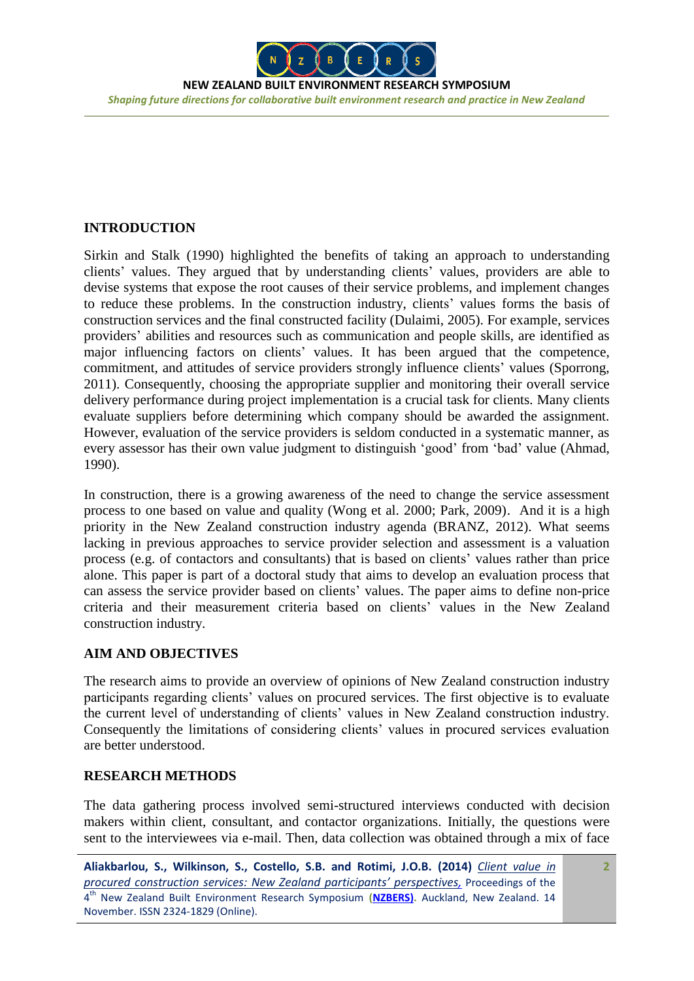

**NEW ZEALAND BUILT ENVIRONMENT RESEARCH SYMPOSIUM** *Shaping future directions for collaborative built environment research and practice in New Zealand*

## **INTRODUCTION**

Sirkin and Stalk (1990) highlighted the benefits of taking an approach to understanding clients' values. They argued that by understanding clients' values, providers are able to devise systems that expose the root causes of their service problems, and implement changes to reduce these problems. In the construction industry, clients' values forms the basis of construction services and the final constructed facility (Dulaimi, 2005). For example, services providers' abilities and resources such as communication and people skills, are identified as major influencing factors on clients' values. It has been argued that the competence, commitment, and attitudes of service providers strongly influence clients' values (Sporrong, 2011). Consequently, choosing the appropriate supplier and monitoring their overall service delivery performance during project implementation is a crucial task for clients. Many clients evaluate suppliers before determining which company should be awarded the assignment. However, evaluation of the service providers is seldom conducted in a systematic manner, as every assessor has their own value judgment to distinguish 'good' from 'bad' value (Ahmad, 1990).

In construction, there is a growing awareness of the need to change the service assessment process to one based on value and quality (Wong et al. 2000; Park, 2009). And it is a high priority in the New Zealand construction industry agenda (BRANZ, 2012). What seems lacking in previous approaches to service provider selection and assessment is a valuation process (e.g. of contactors and consultants) that is based on clients' values rather than price alone. This paper is part of a doctoral study that aims to develop an evaluation process that can assess the service provider based on clients' values. The paper aims to define non-price criteria and their measurement criteria based on clients' values in the New Zealand construction industry.

## **AIM AND OBJECTIVES**

The research aims to provide an overview of opinions of New Zealand construction industry participants regarding clients' values on procured services. The first objective is to evaluate the current level of understanding of clients' values in New Zealand construction industry. Consequently the limitations of considering clients' values in procured services evaluation are better understood.

## **RESEARCH METHODS**

The data gathering process involved semi-structured interviews conducted with decision makers within client, consultant, and contactor organizations. Initially, the questions were sent to the interviewees via e-mail. Then, data collection was obtained through a mix of face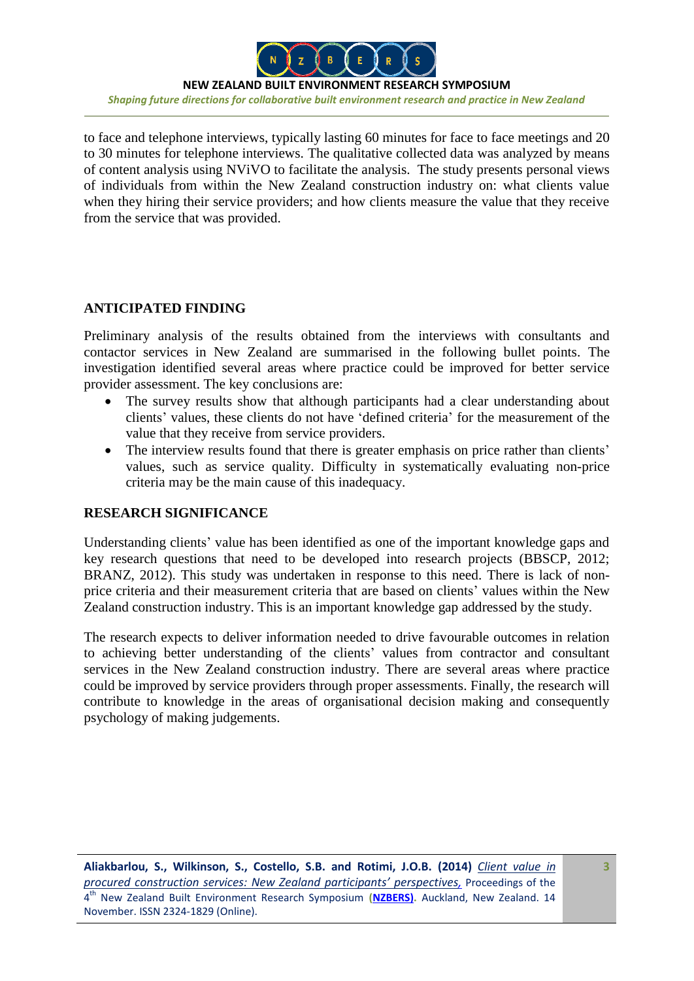

**NEW ZEALAND BUILT ENVIRONMENT RESEARCH SYMPOSIUM** *Shaping future directions for collaborative built environment research and practice in New Zealand*

to face and telephone interviews, typically lasting 60 minutes for face to face meetings and 20 to 30 minutes for telephone interviews. The qualitative collected data was analyzed by means of content analysis using NViVO to facilitate the analysis. The study presents personal views of individuals from within the New Zealand construction industry on: what clients value when they hiring their service providers; and how clients measure the value that they receive from the service that was provided.

## **ANTICIPATED FINDING**

Preliminary analysis of the results obtained from the interviews with consultants and contactor services in New Zealand are summarised in the following bullet points. The investigation identified several areas where practice could be improved for better service provider assessment. The key conclusions are:

- The survey results show that although participants had a clear understanding about clients' values, these clients do not have 'defined criteria' for the measurement of the value that they receive from service providers.
- The interview results found that there is greater emphasis on price rather than clients' values, such as service quality. Difficulty in systematically evaluating non-price criteria may be the main cause of this inadequacy.

## **RESEARCH SIGNIFICANCE**

Understanding clients' value has been identified as one of the important knowledge gaps and key research questions that need to be developed into research projects (BBSCP, 2012; BRANZ, 2012). This study was undertaken in response to this need. There is lack of nonprice criteria and their measurement criteria that are based on clients' values within the New Zealand construction industry. This is an important knowledge gap addressed by the study.

The research expects to deliver information needed to drive favourable outcomes in relation to achieving better understanding of the clients' values from contractor and consultant services in the New Zealand construction industry. There are several areas where practice could be improved by service providers through proper assessments. Finally, the research will contribute to knowledge in the areas of organisational decision making and consequently psychology of making judgements.